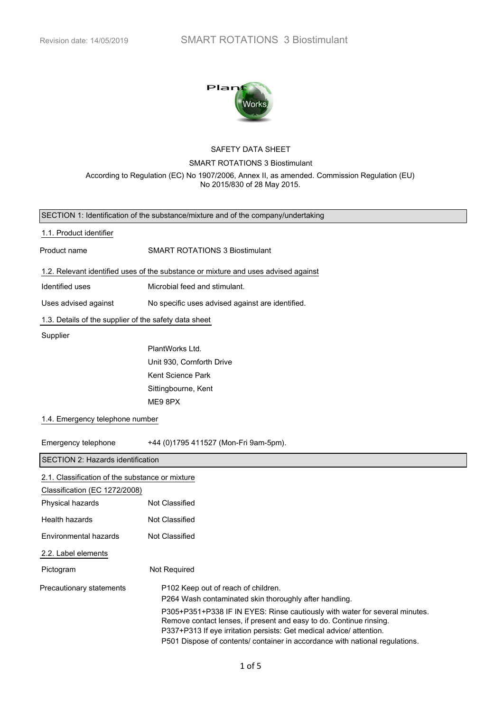

# SAFETY DATA SHEET SMART ROTATIONS 3 Biostimulant According to Regulation (EC) No 1907/2006, Annex II, as amended. Commission Regulation (EU) No 2015/830 of 28 May 2015.

|                                                       | SECTION 1: Identification of the substance/mixture and of the company/undertaking                                                                                                                                                                                                                                                                                                                                       |  |  |
|-------------------------------------------------------|-------------------------------------------------------------------------------------------------------------------------------------------------------------------------------------------------------------------------------------------------------------------------------------------------------------------------------------------------------------------------------------------------------------------------|--|--|
| 1.1. Product identifier                               |                                                                                                                                                                                                                                                                                                                                                                                                                         |  |  |
| Product name                                          | SMART ROTATIONS 3 Biostimulant                                                                                                                                                                                                                                                                                                                                                                                          |  |  |
|                                                       | 1.2. Relevant identified uses of the substance or mixture and uses advised against                                                                                                                                                                                                                                                                                                                                      |  |  |
| Identified uses                                       | Microbial feed and stimulant.                                                                                                                                                                                                                                                                                                                                                                                           |  |  |
| Uses advised against                                  | No specific uses advised against are identified.                                                                                                                                                                                                                                                                                                                                                                        |  |  |
| 1.3. Details of the supplier of the safety data sheet |                                                                                                                                                                                                                                                                                                                                                                                                                         |  |  |
| Supplier                                              |                                                                                                                                                                                                                                                                                                                                                                                                                         |  |  |
|                                                       | PlantWorks Ltd.                                                                                                                                                                                                                                                                                                                                                                                                         |  |  |
|                                                       | Unit 930, Cornforth Drive                                                                                                                                                                                                                                                                                                                                                                                               |  |  |
|                                                       | Kent Science Park                                                                                                                                                                                                                                                                                                                                                                                                       |  |  |
|                                                       | Sittingbourne, Kent                                                                                                                                                                                                                                                                                                                                                                                                     |  |  |
|                                                       | ME9 8PX                                                                                                                                                                                                                                                                                                                                                                                                                 |  |  |
| 1.4. Emergency telephone number                       |                                                                                                                                                                                                                                                                                                                                                                                                                         |  |  |
| Emergency telephone                                   | +44 (0)1795 411527 (Mon-Fri 9am-5pm).                                                                                                                                                                                                                                                                                                                                                                                   |  |  |
| SECTION 2: Hazards identification                     |                                                                                                                                                                                                                                                                                                                                                                                                                         |  |  |
| 2.1. Classification of the substance or mixture       |                                                                                                                                                                                                                                                                                                                                                                                                                         |  |  |
| Classification (EC 1272/2008)                         |                                                                                                                                                                                                                                                                                                                                                                                                                         |  |  |
| Physical hazards                                      | Not Classified                                                                                                                                                                                                                                                                                                                                                                                                          |  |  |
| Health hazards                                        | Not Classified                                                                                                                                                                                                                                                                                                                                                                                                          |  |  |
| Environmental hazards                                 | Not Classified                                                                                                                                                                                                                                                                                                                                                                                                          |  |  |
| 2.2. Label elements                                   |                                                                                                                                                                                                                                                                                                                                                                                                                         |  |  |
| Pictogram                                             | Not Required                                                                                                                                                                                                                                                                                                                                                                                                            |  |  |
| Precautionary statements                              | P <sub>102</sub> Keep out of reach of children.<br>P264 Wash contaminated skin thoroughly after handling.<br>P305+P351+P338 IF IN EYES: Rinse cautiously with water for several minutes.<br>Remove contact lenses, if present and easy to do. Continue rinsing.<br>P337+P313 If eye irritation persists: Get medical advice/ attention.<br>P501 Dispose of contents/ container in accordance with national regulations. |  |  |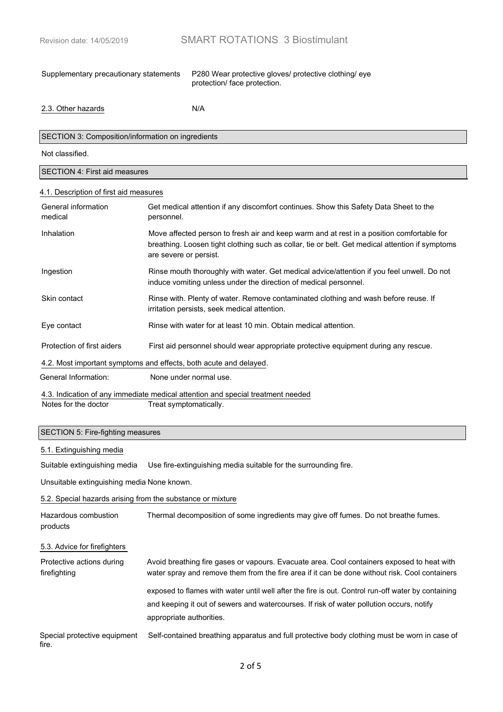Supplementary precautionary statements P280 Wear protective gloves/ protective clothing/ eye protection/ face protection.

2.3. Other hazards N/A

### SECTION 3: Composition/information on ingredients

Not classified.

#### SECTION 4: First aid measures

#### 4.1. Description of first aid measures

| General information<br>medical                                                  | Get medical attention if any discomfort continues. Show this Safety Data Sheet to the<br>personnel.                                                                                                                    |  |
|---------------------------------------------------------------------------------|------------------------------------------------------------------------------------------------------------------------------------------------------------------------------------------------------------------------|--|
| Inhalation                                                                      | Move affected person to fresh air and keep warm and at rest in a position comfortable for<br>breathing. Loosen tight clothing such as collar, tie or belt. Get medical attention if symptoms<br>are severe or persist. |  |
| Ingestion                                                                       | Rinse mouth thoroughly with water. Get medical advice/attention if you feel unwell. Do not<br>induce vomiting unless under the direction of medical personnel.                                                         |  |
| Skin contact                                                                    | Rinse with. Plenty of water. Remove contaminated clothing and wash before reuse. If<br>irritation persists, seek medical attention.                                                                                    |  |
| Eye contact                                                                     | Rinse with water for at least 10 min. Obtain medical attention.                                                                                                                                                        |  |
| Protection of first aiders                                                      | First aid personnel should wear appropriate protective equipment during any rescue.                                                                                                                                    |  |
| 4.2. Most important symptoms and effects, both acute and delayed.               |                                                                                                                                                                                                                        |  |
| General Information:                                                            | None under normal use.                                                                                                                                                                                                 |  |
| 4.3. Indication of any immediate medical attention and special treatment needed |                                                                                                                                                                                                                        |  |
| Notes for the doctor                                                            | Treat symptomatically.                                                                                                                                                                                                 |  |

#### SECTION 5: Fire-fighting measures

#### 5.1. Extinguishing media

Suitable extinguishing media Use fire-extinguishing media suitable for the surrounding fire.

Unsuitable extinguishing media None known.

#### 5.2. Special hazards arising from the substance or mixture

| Hazardous combustion<br>products          | Thermal decomposition of some ingredients may give off fumes. Do not breathe fumes.                                                                                                                                        |
|-------------------------------------------|----------------------------------------------------------------------------------------------------------------------------------------------------------------------------------------------------------------------------|
| 5.3. Advice for firefighters              |                                                                                                                                                                                                                            |
| Protective actions during<br>firefighting | Avoid breathing fire gases or vapours. Evacuate area. Cool containers exposed to heat with<br>water spray and remove them from the fire area if it can be done without risk. Cool containers                               |
|                                           | exposed to flames with water until well after the fire is out. Control run-off water by containing<br>and keeping it out of sewers and watercourses. If risk of water pollution occurs, notify<br>appropriate authorities. |
| Special protective equipment<br>fire.     | Self-contained breathing apparatus and full protective body clothing must be worn in case of                                                                                                                               |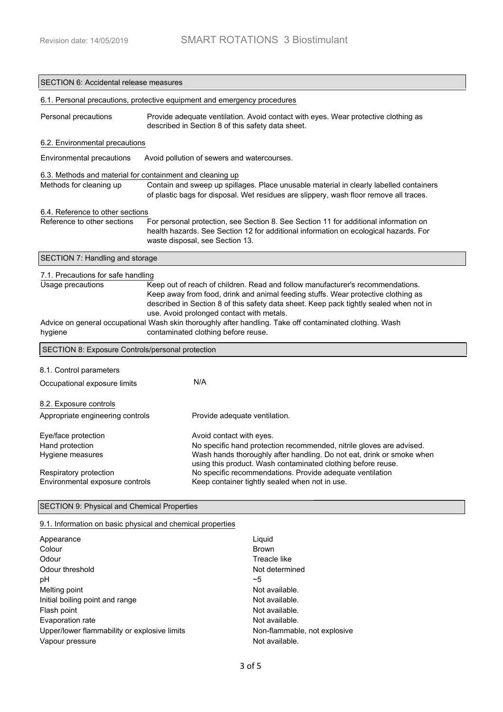L

| <b>SECTION 6: Accidental release measures</b>                                                                                                                                                                                                                                                                                                                                                                                               |                                                                                                                                                                                                                                               |                                                                                                                                         |  |
|---------------------------------------------------------------------------------------------------------------------------------------------------------------------------------------------------------------------------------------------------------------------------------------------------------------------------------------------------------------------------------------------------------------------------------------------|-----------------------------------------------------------------------------------------------------------------------------------------------------------------------------------------------------------------------------------------------|-----------------------------------------------------------------------------------------------------------------------------------------|--|
|                                                                                                                                                                                                                                                                                                                                                                                                                                             |                                                                                                                                                                                                                                               | 6.1. Personal precautions, protective equipment and emergency procedures                                                                |  |
| Personal precautions                                                                                                                                                                                                                                                                                                                                                                                                                        |                                                                                                                                                                                                                                               | Provide adequate ventilation. Avoid contact with eyes. Wear protective clothing as<br>described in Section 8 of this safety data sheet. |  |
| 6.2. Environmental precautions                                                                                                                                                                                                                                                                                                                                                                                                              |                                                                                                                                                                                                                                               |                                                                                                                                         |  |
| Environmental precautions                                                                                                                                                                                                                                                                                                                                                                                                                   | Avoid pollution of sewers and watercourses.                                                                                                                                                                                                   |                                                                                                                                         |  |
| Methods for cleaning up                                                                                                                                                                                                                                                                                                                                                                                                                     | 6.3. Methods and material for containment and cleaning up<br>Contain and sweep up spillages. Place unusable material in clearly labelled containers<br>of plastic bags for disposal. Wet residues are slippery, wash floor remove all traces. |                                                                                                                                         |  |
| 6.4. Reference to other sections                                                                                                                                                                                                                                                                                                                                                                                                            |                                                                                                                                                                                                                                               |                                                                                                                                         |  |
| Reference to other sections<br>For personal protection, see Section 8. See Section 11 for additional information on<br>health hazards. See Section 12 for additional information on ecological hazards. For<br>waste disposal, see Section 13.                                                                                                                                                                                              |                                                                                                                                                                                                                                               |                                                                                                                                         |  |
| SECTION 7: Handling and storage                                                                                                                                                                                                                                                                                                                                                                                                             |                                                                                                                                                                                                                                               |                                                                                                                                         |  |
| 7.1. Precautions for safe handling                                                                                                                                                                                                                                                                                                                                                                                                          |                                                                                                                                                                                                                                               |                                                                                                                                         |  |
| Usage precautions<br>Keep out of reach of children. Read and follow manufacturer's recommendations.<br>Keep away from food, drink and animal feeding stuffs. Wear protective clothing as<br>described in Section 8 of this safety data sheet. Keep pack tightly sealed when not in<br>use. Avoid prolonged contact with metals.<br>Advice on general occupational Wash skin thoroughly after handling. Take off contaminated clothing. Wash |                                                                                                                                                                                                                                               |                                                                                                                                         |  |
| hygiene                                                                                                                                                                                                                                                                                                                                                                                                                                     |                                                                                                                                                                                                                                               | contaminated clothing before reuse.                                                                                                     |  |
| SECTION 8: Exposure Controls/personal protection                                                                                                                                                                                                                                                                                                                                                                                            |                                                                                                                                                                                                                                               |                                                                                                                                         |  |
| 8.1. Control parameters                                                                                                                                                                                                                                                                                                                                                                                                                     |                                                                                                                                                                                                                                               |                                                                                                                                         |  |
| Occupational exposure limits                                                                                                                                                                                                                                                                                                                                                                                                                |                                                                                                                                                                                                                                               | N/A                                                                                                                                     |  |
| 8.2. Exposure controls                                                                                                                                                                                                                                                                                                                                                                                                                      |                                                                                                                                                                                                                                               |                                                                                                                                         |  |
| Appropriate engineering controls                                                                                                                                                                                                                                                                                                                                                                                                            |                                                                                                                                                                                                                                               | Provide adequate ventilation.                                                                                                           |  |
| Eye/face protection                                                                                                                                                                                                                                                                                                                                                                                                                         |                                                                                                                                                                                                                                               | Avoid contact with eyes.                                                                                                                |  |
| Hand protection                                                                                                                                                                                                                                                                                                                                                                                                                             |                                                                                                                                                                                                                                               | No specific hand protection recommended, nitrile gloves are advised.                                                                    |  |
| Hygiene measures                                                                                                                                                                                                                                                                                                                                                                                                                            |                                                                                                                                                                                                                                               | Wash hands thoroughly after handling. Do not eat, drink or smoke when<br>using this product. Wash contaminated clothing before reuse.   |  |
| Respiratory protection                                                                                                                                                                                                                                                                                                                                                                                                                      |                                                                                                                                                                                                                                               | No specific recommendations. Provide adequate ventilation                                                                               |  |
| Environmental exposure controls<br>Keep container tightly sealed when not in use.                                                                                                                                                                                                                                                                                                                                                           |                                                                                                                                                                                                                                               |                                                                                                                                         |  |
| SECTION 9: Physical and Chemical Properties                                                                                                                                                                                                                                                                                                                                                                                                 |                                                                                                                                                                                                                                               |                                                                                                                                         |  |

## 9.1. Information on basic physical and chemical properties

| Appearance                                   | Liguid                       |
|----------------------------------------------|------------------------------|
| Colour                                       | <b>Brown</b>                 |
| Odour                                        | Treacle like                 |
| Odour threshold                              | Not determined               |
| рH                                           | $-5$                         |
| Melting point                                | Not available.               |
| Initial boiling point and range              | Not available.               |
| Flash point                                  | Not available.               |
| Evaporation rate                             | Not available.               |
| Upper/lower flammability or explosive limits | Non-flammable, not explosive |
| Vapour pressure                              | Not available.               |
|                                              |                              |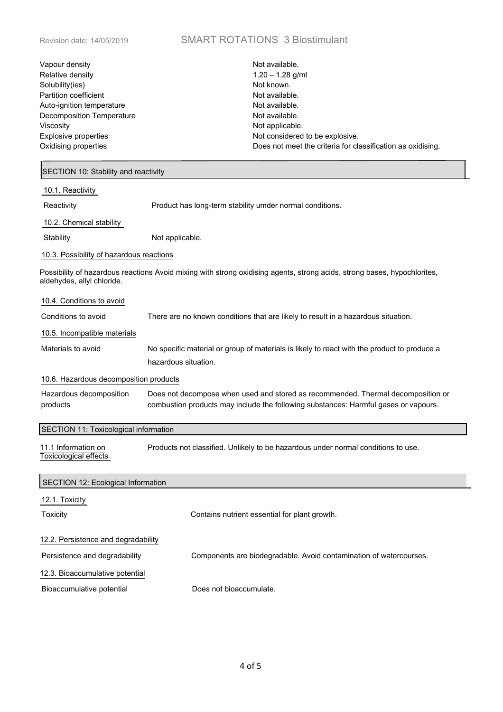# Revision date: 14/05/2019 SMART ROTATIONS 3 Biostimulant

| Vapour density<br>Relative density<br>Solubility(ies)<br>Partition coefficient<br>Auto-ignition temperature<br><b>Decomposition Temperature</b><br>Viscosity<br>Explosive properties<br>Oxidising properties | Not available.<br>$1.20 - 1.28$ g/ml<br>Not known.<br>Not available.<br>Not available.<br>Not available.<br>Not applicable.<br>Not considered to be explosive.<br>Does not meet the criteria for classification as oxidising. |  |  |
|--------------------------------------------------------------------------------------------------------------------------------------------------------------------------------------------------------------|-------------------------------------------------------------------------------------------------------------------------------------------------------------------------------------------------------------------------------|--|--|
| SECTION 10: Stability and reactivity                                                                                                                                                                         |                                                                                                                                                                                                                               |  |  |
| 10.1. Reactivity                                                                                                                                                                                             |                                                                                                                                                                                                                               |  |  |
| Reactivity                                                                                                                                                                                                   | Product has long-term stability umder normal conditions.                                                                                                                                                                      |  |  |
| 10.2. Chemical stability                                                                                                                                                                                     |                                                                                                                                                                                                                               |  |  |
| Stability                                                                                                                                                                                                    | Not applicable.                                                                                                                                                                                                               |  |  |
| 10.3. Possibility of hazardous reactions                                                                                                                                                                     |                                                                                                                                                                                                                               |  |  |
| aldehydes, allyl chloride.                                                                                                                                                                                   | Possibility of hazardous reactions Avoid mixing with strong oxidising agents, strong acids, strong bases, hypochlorites,                                                                                                      |  |  |
| 10.4. Conditions to avoid                                                                                                                                                                                    |                                                                                                                                                                                                                               |  |  |
| Conditions to avoid                                                                                                                                                                                          | There are no known conditions that are likely to result in a hazardous situation.                                                                                                                                             |  |  |
| 10.5. Incompatible materials                                                                                                                                                                                 |                                                                                                                                                                                                                               |  |  |
| Materials to avoid                                                                                                                                                                                           | No specific material or group of materials is likely to react with the product to produce a<br>hazardous situation.                                                                                                           |  |  |
| 10.6. Hazardous decomposition products                                                                                                                                                                       |                                                                                                                                                                                                                               |  |  |
| Hazardous decomposition<br>products                                                                                                                                                                          | Does not decompose when used and stored as recommended. Thermal decomposition or<br>combustion products may include the following substances: Harmful gases or vapours.                                                       |  |  |
| SECTION 11: Toxicological information                                                                                                                                                                        |                                                                                                                                                                                                                               |  |  |
| 11.1 Information on<br><b>Toxicological effects</b>                                                                                                                                                          | Products not classified. Unlikely to be hazardous under normal conditions to use.                                                                                                                                             |  |  |
| SECTION 12: Ecological Information                                                                                                                                                                           |                                                                                                                                                                                                                               |  |  |
| 12.1. Toxicity                                                                                                                                                                                               |                                                                                                                                                                                                                               |  |  |
| Toxicity                                                                                                                                                                                                     | Contains nutrient essential for plant growth.                                                                                                                                                                                 |  |  |
| 12.2. Persistence and degradability                                                                                                                                                                          |                                                                                                                                                                                                                               |  |  |
| Persistence and degradability                                                                                                                                                                                | Components are biodegradable. Avoid contamination of watercourses.                                                                                                                                                            |  |  |
| 12.3. Bioaccumulative potential                                                                                                                                                                              |                                                                                                                                                                                                                               |  |  |
| Bioaccumulative potential                                                                                                                                                                                    | Does not bioaccumulate.                                                                                                                                                                                                       |  |  |